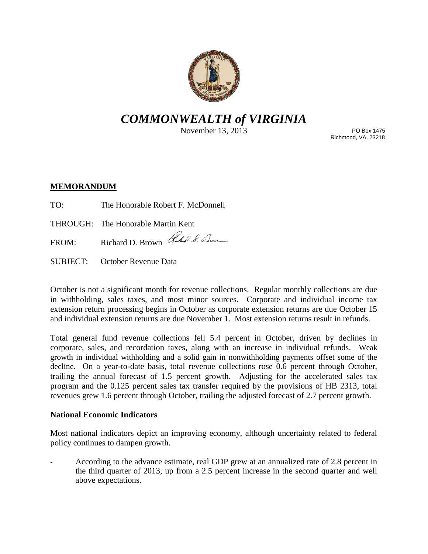

# *COMMONWEALTH of VIRGINIA*

November 13, 2013

PO Box 1475 Richmond, VA. 23218

## **MEMORANDUM**

- TO: The Honorable Robert F. McDonnell
- THROUGH: The Honorable Martin Kent
- FROM: Richard D. Brown Richard D. Elm
- SUBJECT: October Revenue Data

October is not a significant month for revenue collections. Regular monthly collections are due in withholding, sales taxes, and most minor sources. Corporate and individual income tax extension return processing begins in October as corporate extension returns are due October 15 and individual extension returns are due November 1. Most extension returns result in refunds.

Total general fund revenue collections fell 5.4 percent in October, driven by declines in corporate, sales, and recordation taxes, along with an increase in individual refunds. Weak growth in individual withholding and a solid gain in nonwithholding payments offset some of the decline. On a year-to-date basis, total revenue collections rose 0.6 percent through October, trailing the annual forecast of 1.5 percent growth. Adjusting for the accelerated sales tax program and the 0.125 percent sales tax transfer required by the provisions of HB 2313, total revenues grew 1.6 percent through October, trailing the adjusted forecast of 2.7 percent growth.

### **National Economic Indicators**

Most national indicators depict an improving economy, although uncertainty related to federal policy continues to dampen growth.

- According to the advance estimate, real GDP grew at an annualized rate of 2.8 percent in the third quarter of 2013, up from a 2.5 percent increase in the second quarter and well above expectations.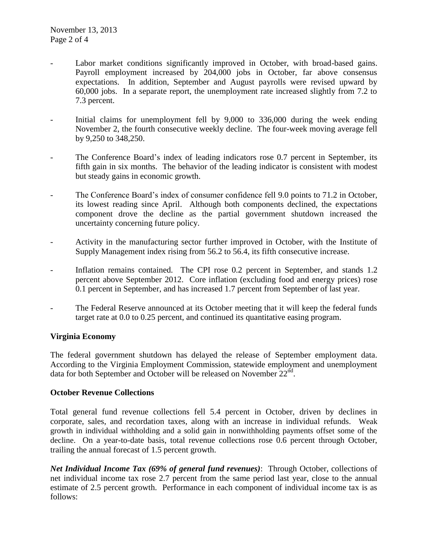- Labor market conditions significantly improved in October, with broad-based gains. Payroll employment increased by 204,000 jobs in October, far above consensus expectations. In addition, September and August payrolls were revised upward by 60,000 jobs. In a separate report, the unemployment rate increased slightly from 7.2 to 7.3 percent.
- Initial claims for unemployment fell by 9,000 to 336,000 during the week ending November 2, the fourth consecutive weekly decline. The four-week moving average fell by 9,250 to 348,250.
- The Conference Board's index of leading indicators rose 0.7 percent in September, its fifth gain in six months. The behavior of the leading indicator is consistent with modest but steady gains in economic growth.
- The Conference Board's index of consumer confidence fell 9.0 points to 71.2 in October, its lowest reading since April. Although both components declined, the expectations component drove the decline as the partial government shutdown increased the uncertainty concerning future policy.
- Activity in the manufacturing sector further improved in October, with the Institute of Supply Management index rising from 56.2 to 56.4, its fifth consecutive increase.
- Inflation remains contained. The CPI rose 0.2 percent in September, and stands 1.2 percent above September 2012. Core inflation (excluding food and energy prices) rose 0.1 percent in September, and has increased 1.7 percent from September of last year.
- The Federal Reserve announced at its October meeting that it will keep the federal funds target rate at 0.0 to 0.25 percent, and continued its quantitative easing program.

### **Virginia Economy**

The federal government shutdown has delayed the release of September employment data. According to the Virginia Employment Commission, statewide employment and unemployment data for both September and October will be released on November 22<sup>nd</sup>.

### **October Revenue Collections**

Total general fund revenue collections fell 5.4 percent in October, driven by declines in corporate, sales, and recordation taxes, along with an increase in individual refunds. Weak growth in individual withholding and a solid gain in nonwithholding payments offset some of the decline. On a year-to-date basis, total revenue collections rose 0.6 percent through October, trailing the annual forecast of 1.5 percent growth.

*Net Individual Income Tax (69% of general fund revenues)*: Through October, collections of net individual income tax rose 2.7 percent from the same period last year, close to the annual estimate of 2.5 percent growth. Performance in each component of individual income tax is as follows: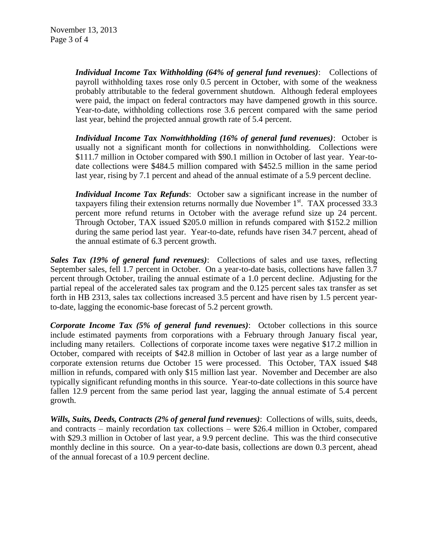*Individual Income Tax Withholding (64% of general fund revenues)*: Collections of payroll withholding taxes rose only 0.5 percent in October, with some of the weakness probably attributable to the federal government shutdown. Although federal employees were paid, the impact on federal contractors may have dampened growth in this source. Year-to-date, withholding collections rose 3.6 percent compared with the same period last year, behind the projected annual growth rate of 5.4 percent.

*Individual Income Tax Nonwithholding (16% of general fund revenues)*: October is usually not a significant month for collections in nonwithholding. Collections were \$111.7 million in October compared with \$90.1 million in October of last year. Year-todate collections were \$484.5 million compared with \$452.5 million in the same period last year, rising by 7.1 percent and ahead of the annual estimate of a 5.9 percent decline.

*Individual Income Tax Refunds*: October saw a significant increase in the number of taxpayers filing their extension returns normally due November  $1<sup>st</sup>$ . TAX processed 33.3 percent more refund returns in October with the average refund size up 24 percent. Through October, TAX issued \$205.0 million in refunds compared with \$152.2 million during the same period last year. Year-to-date, refunds have risen 34.7 percent, ahead of the annual estimate of 6.3 percent growth.

*Sales Tax (19% of general fund revenues)*: Collections of sales and use taxes, reflecting September sales, fell 1.7 percent in October. On a year-to-date basis, collections have fallen 3.7 percent through October, trailing the annual estimate of a 1.0 percent decline. Adjusting for the partial repeal of the accelerated sales tax program and the 0.125 percent sales tax transfer as set forth in HB 2313, sales tax collections increased 3.5 percent and have risen by 1.5 percent yearto-date, lagging the economic-base forecast of 5.2 percent growth.

*Corporate Income Tax (5% of general fund revenues)*: October collections in this source include estimated payments from corporations with a February through January fiscal year, including many retailers. Collections of corporate income taxes were negative \$17.2 million in October, compared with receipts of \$42.8 million in October of last year as a large number of corporate extension returns due October 15 were processed. This October, TAX issued \$48 million in refunds, compared with only \$15 million last year. November and December are also typically significant refunding months in this source. Year-to-date collections in this source have fallen 12.9 percent from the same period last year, lagging the annual estimate of 5.4 percent growth.

*Wills, Suits, Deeds, Contracts (2% of general fund revenues)*: Collections of wills, suits, deeds, and contracts – mainly recordation tax collections – were \$26.4 million in October, compared with \$29.3 million in October of last year, a 9.9 percent decline. This was the third consecutive monthly decline in this source. On a year-to-date basis, collections are down 0.3 percent, ahead of the annual forecast of a 10.9 percent decline.